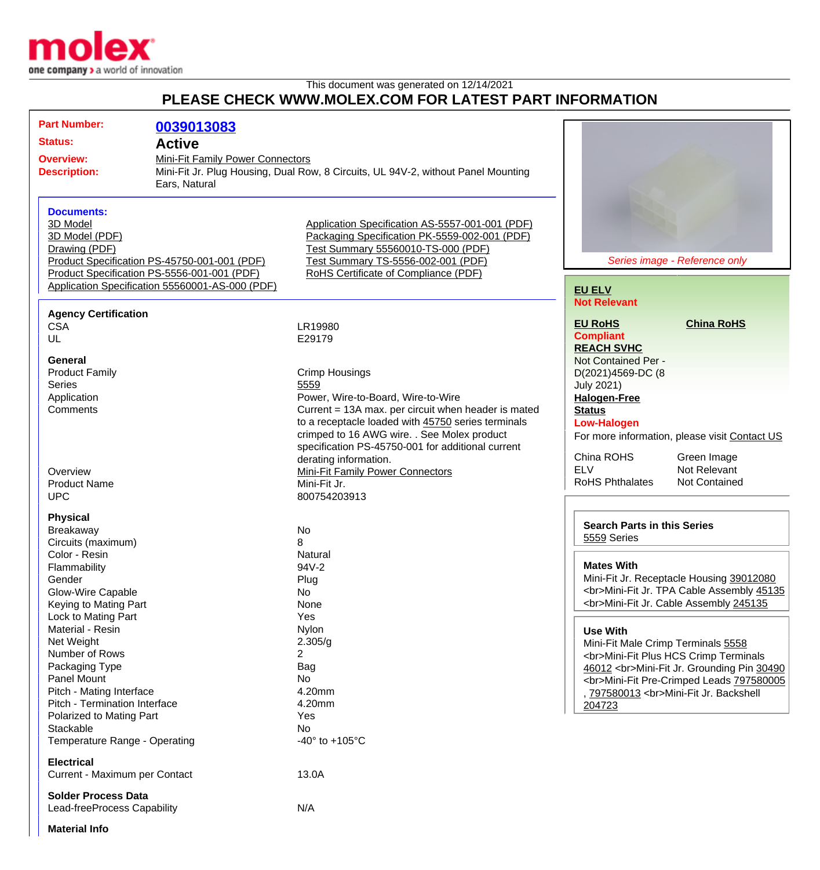

This document was generated on 12/14/2021

## **PLEASE CHECK WWW.MOLEX.COM FOR LATEST PART INFORMATION**

| <b>Status:</b><br><b>Active</b><br>Mini-Fit Family Power Connectors<br><b>Overview:</b><br>Mini-Fit Jr. Plug Housing, Dual Row, 8 Circuits, UL 94V-2, without Panel Mounting<br><b>Description:</b><br>Ears, Natural<br><b>Documents:</b><br>3D Model<br>Application Specification AS-5557-001-001 (PDF)<br>Packaging Specification PK-5559-002-001 (PDF)<br>3D Model (PDF)<br>Test Summary 55560010-TS-000 (PDF)<br>Drawing (PDF)<br>Test Summary TS-5556-002-001 (PDF)<br>Product Specification PS-45750-001-001 (PDF)<br>Series image - Reference only<br>Product Specification PS-5556-001-001 (PDF)<br>RoHS Certificate of Compliance (PDF)<br>Application Specification 55560001-AS-000 (PDF)<br><b>EU ELV</b><br><b>Not Relevant</b><br><b>Agency Certification</b><br><b>China RoHS</b><br><b>EU RoHS</b><br><b>CSA</b><br>LR19980<br><b>Compliant</b><br>UL<br>E29179<br><b>REACH SVHC</b><br>General<br>Not Contained Per -<br><b>Product Family</b><br><b>Crimp Housings</b><br>D(2021)4569-DC (8<br><b>Series</b><br>5559<br><b>July 2021)</b><br>Application<br>Power, Wire-to-Board, Wire-to-Wire<br><b>Halogen-Free</b><br>Comments<br>Current = 13A max. per circuit when header is mated<br><b>Status</b><br>to a receptacle loaded with 45750 series terminals<br><b>Low-Halogen</b><br>crimped to 16 AWG wire. . See Molex product<br>specification PS-45750-001 for additional current<br>China ROHS<br>Green Image<br>derating information.<br><b>ELV</b><br>Not Relevant<br>Overview<br><b>Mini-Fit Family Power Connectors</b><br><b>RoHS Phthalates</b><br><b>Not Contained</b><br>Mini-Fit Jr.<br><b>Product Name</b><br><b>UPC</b><br>800754203913<br><b>Physical</b><br><b>Search Parts in this Series</b><br>No<br>Breakaway<br>5559 Series<br>Circuits (maximum)<br>8<br>Color - Resin<br>Natural<br><b>Mates With</b><br>94V-2<br>Flammability<br>Plug<br>Gender<br>Glow-Wire Capable<br>No<br><br>Mini-Fit Jr. Cable Assembly 245135<br>None<br>Keying to Mating Part<br>Yes<br>Lock to Mating Part<br>Material - Resin<br>Nylon<br><b>Use With</b><br>Net Weight<br>2.305/g<br>Mini-Fit Male Crimp Terminals 5558 | <b>Part Number:</b> | 0039013083 |              |                                                                                                                                |
|---------------------------------------------------------------------------------------------------------------------------------------------------------------------------------------------------------------------------------------------------------------------------------------------------------------------------------------------------------------------------------------------------------------------------------------------------------------------------------------------------------------------------------------------------------------------------------------------------------------------------------------------------------------------------------------------------------------------------------------------------------------------------------------------------------------------------------------------------------------------------------------------------------------------------------------------------------------------------------------------------------------------------------------------------------------------------------------------------------------------------------------------------------------------------------------------------------------------------------------------------------------------------------------------------------------------------------------------------------------------------------------------------------------------------------------------------------------------------------------------------------------------------------------------------------------------------------------------------------------------------------------------------------------------------------------------------------------------------------------------------------------------------------------------------------------------------------------------------------------------------------------------------------------------------------------------------------------------------------------------------------------------------------------------------------------------------------------------------------------------------------------------------|---------------------|------------|--------------|--------------------------------------------------------------------------------------------------------------------------------|
|                                                                                                                                                                                                                                                                                                                                                                                                                                                                                                                                                                                                                                                                                                                                                                                                                                                                                                                                                                                                                                                                                                                                                                                                                                                                                                                                                                                                                                                                                                                                                                                                                                                                                                                                                                                                                                                                                                                                                                                                                                                                                                                                                   |                     |            |              |                                                                                                                                |
|                                                                                                                                                                                                                                                                                                                                                                                                                                                                                                                                                                                                                                                                                                                                                                                                                                                                                                                                                                                                                                                                                                                                                                                                                                                                                                                                                                                                                                                                                                                                                                                                                                                                                                                                                                                                                                                                                                                                                                                                                                                                                                                                                   |                     |            |              |                                                                                                                                |
|                                                                                                                                                                                                                                                                                                                                                                                                                                                                                                                                                                                                                                                                                                                                                                                                                                                                                                                                                                                                                                                                                                                                                                                                                                                                                                                                                                                                                                                                                                                                                                                                                                                                                                                                                                                                                                                                                                                                                                                                                                                                                                                                                   |                     |            |              |                                                                                                                                |
|                                                                                                                                                                                                                                                                                                                                                                                                                                                                                                                                                                                                                                                                                                                                                                                                                                                                                                                                                                                                                                                                                                                                                                                                                                                                                                                                                                                                                                                                                                                                                                                                                                                                                                                                                                                                                                                                                                                                                                                                                                                                                                                                                   |                     |            |              |                                                                                                                                |
|                                                                                                                                                                                                                                                                                                                                                                                                                                                                                                                                                                                                                                                                                                                                                                                                                                                                                                                                                                                                                                                                                                                                                                                                                                                                                                                                                                                                                                                                                                                                                                                                                                                                                                                                                                                                                                                                                                                                                                                                                                                                                                                                                   |                     |            |              |                                                                                                                                |
|                                                                                                                                                                                                                                                                                                                                                                                                                                                                                                                                                                                                                                                                                                                                                                                                                                                                                                                                                                                                                                                                                                                                                                                                                                                                                                                                                                                                                                                                                                                                                                                                                                                                                                                                                                                                                                                                                                                                                                                                                                                                                                                                                   |                     |            |              |                                                                                                                                |
|                                                                                                                                                                                                                                                                                                                                                                                                                                                                                                                                                                                                                                                                                                                                                                                                                                                                                                                                                                                                                                                                                                                                                                                                                                                                                                                                                                                                                                                                                                                                                                                                                                                                                                                                                                                                                                                                                                                                                                                                                                                                                                                                                   |                     |            |              | For more information, please visit Contact US                                                                                  |
|                                                                                                                                                                                                                                                                                                                                                                                                                                                                                                                                                                                                                                                                                                                                                                                                                                                                                                                                                                                                                                                                                                                                                                                                                                                                                                                                                                                                                                                                                                                                                                                                                                                                                                                                                                                                                                                                                                                                                                                                                                                                                                                                                   |                     |            |              |                                                                                                                                |
|                                                                                                                                                                                                                                                                                                                                                                                                                                                                                                                                                                                                                                                                                                                                                                                                                                                                                                                                                                                                                                                                                                                                                                                                                                                                                                                                                                                                                                                                                                                                                                                                                                                                                                                                                                                                                                                                                                                                                                                                                                                                                                                                                   |                     |            |              | Mini-Fit Jr. Receptacle Housing 39012080<br><br>Mini-Fit Jr. TPA Cable Assembly 45135                                          |
| Packaging Type<br>Bag<br>Panel Mount<br>No<br>Pitch - Mating Interface<br>4.20mm<br>, 797580013<br>Mini-Fit Jr. Backshell<br>Pitch - Termination Interface<br>4.20mm<br>204723                                                                                                                                                                                                                                                                                                                                                                                                                                                                                                                                                                                                                                                                                                                                                                                                                                                                                                                                                                                                                                                                                                                                                                                                                                                                                                                                                                                                                                                                                                                                                                                                                                                                                                                                                                                                                                                                                                                                                                    | Number of Rows      |            | $\mathbf{2}$ | <br>Mini-Fit Plus HCS Crimp Terminals<br>46012<br>Mini-Fit Jr. Grounding Pin 30490<br><br>Mini-Fit Pre-Crimped Leads 797580005 |
| Polarized to Mating Part<br>Yes<br>No<br>Stackable<br>Temperature Range - Operating<br>-40 $\degree$ to +105 $\degree$ C                                                                                                                                                                                                                                                                                                                                                                                                                                                                                                                                                                                                                                                                                                                                                                                                                                                                                                                                                                                                                                                                                                                                                                                                                                                                                                                                                                                                                                                                                                                                                                                                                                                                                                                                                                                                                                                                                                                                                                                                                          |                     |            |              |                                                                                                                                |
| <b>Electrical</b><br>Current - Maximum per Contact<br>13.0A                                                                                                                                                                                                                                                                                                                                                                                                                                                                                                                                                                                                                                                                                                                                                                                                                                                                                                                                                                                                                                                                                                                                                                                                                                                                                                                                                                                                                                                                                                                                                                                                                                                                                                                                                                                                                                                                                                                                                                                                                                                                                       |                     |            |              |                                                                                                                                |
| <b>Solder Process Data</b><br>N/A<br>Lead-freeProcess Capability<br><b>Material Info</b>                                                                                                                                                                                                                                                                                                                                                                                                                                                                                                                                                                                                                                                                                                                                                                                                                                                                                                                                                                                                                                                                                                                                                                                                                                                                                                                                                                                                                                                                                                                                                                                                                                                                                                                                                                                                                                                                                                                                                                                                                                                          |                     |            |              |                                                                                                                                |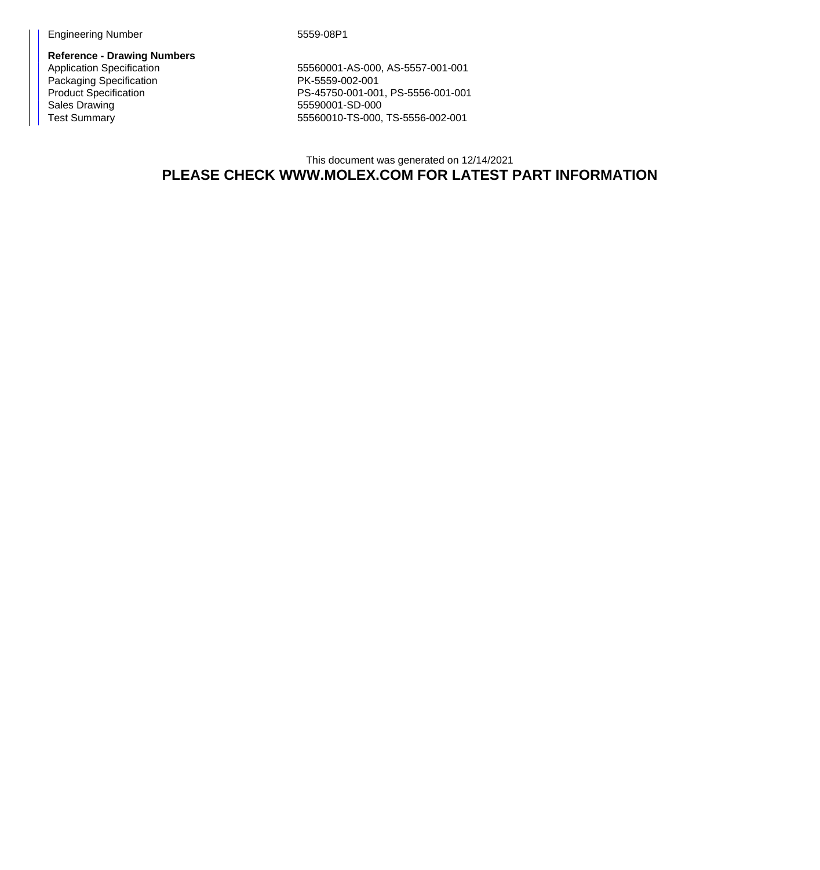Engineering Number 5559-08P1

**Reference - Drawing Numbers** Packaging Specification<br>
Packaging Specification<br>
Product Specification<br>
PS-45750-001-00 Sales Drawing 65590001-SD-000<br>
Test Summary 65560010-TS-000,

55560001-AS-000, AS-5557-001-001 PS-45750-001-001, PS-5556-001-001 55560010-TS-000, TS-5556-002-001

This document was generated on 12/14/2021 **PLEASE CHECK WWW.MOLEX.COM FOR LATEST PART INFORMATION**